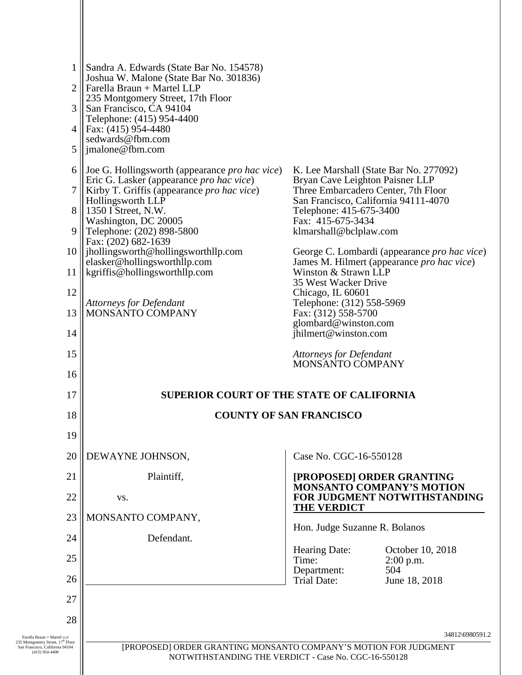| 5 <sup>1</sup>                                                                                       | 1    Sandra A. Edwards (State Bar No. 154578)<br>Joshua W. Malone (State Bar No. 301836)<br>$2$   Farella Braun + Martel LLP<br>235 Montgomery Street, 17th Floor<br>3 San Francisco, CA 94104<br>Telephone: (415) 954-4400<br>4   Fax: $(415)$ 954-4480<br>sedwards@fbm.com<br>$\parallel$ imalone@fbm.com                                                                                                                                                                     |                                                                                                                                                                                                                                                                                                                                                                                                                                                                                                                                                                         |                    |  |
|------------------------------------------------------------------------------------------------------|---------------------------------------------------------------------------------------------------------------------------------------------------------------------------------------------------------------------------------------------------------------------------------------------------------------------------------------------------------------------------------------------------------------------------------------------------------------------------------|-------------------------------------------------------------------------------------------------------------------------------------------------------------------------------------------------------------------------------------------------------------------------------------------------------------------------------------------------------------------------------------------------------------------------------------------------------------------------------------------------------------------------------------------------------------------------|--------------------|--|
| 9<br>11<br>12<br>13<br>14<br>15                                                                      | 6    Joe G. Hollingsworth (appearance <i>pro hac vice</i> )<br>Eric G. Lasker (appearance <i>pro hac vice</i> )<br>7    Kirby T. Griffis (appearance pro hac vice)<br>Hollingsworth LLP<br>8    1350 I Street, N.W.<br>Washington, DC 20005<br>Telephone: (202) 898-5800<br>Fax: (202) 682-1639<br>10    jhollingsworth@hollingsworthllp.com<br>elasker@hollingsworthllp.com<br>$\parallel$ kgriffis@hollingsworthllp.com<br><b>Attorneys for Defendant</b><br>MONSANTO COMPANY | K. Lee Marshall (State Bar No. 277092)<br>Bryan Cave Leighton Paisner LLP<br>Three Embarcadero Center, 7th Floor<br>San Francisco, California 94111-4070<br>Telephone: 415-675-3400<br>Fax: 415-675-3434<br>klmarshall@bclplaw.com<br>George C. Lombardi (appearance <i>pro hac vice</i> )<br>James M. Hilmert (appearance pro hac vice)<br>Winston & Strawn LLP<br>35 West Wacker Drive<br>Chicago, IL 60601<br>Telephone: (312) 558-5969<br>Fax: (312) 558-5700<br>glombard@winston.com<br>jhilmert@winston.com<br><b>Attorneys for Defendant</b><br>MONSANTO COMPANY |                    |  |
| 16<br>17                                                                                             | <b>SUPERIOR COURT OF THE STATE OF CALIFORNIA</b>                                                                                                                                                                                                                                                                                                                                                                                                                                |                                                                                                                                                                                                                                                                                                                                                                                                                                                                                                                                                                         |                    |  |
| 18<br>19                                                                                             |                                                                                                                                                                                                                                                                                                                                                                                                                                                                                 | <b>COUNTY OF SAN FRANCISCO</b>                                                                                                                                                                                                                                                                                                                                                                                                                                                                                                                                          |                    |  |
| 20                                                                                                   | DEWAYNE JOHNSON,                                                                                                                                                                                                                                                                                                                                                                                                                                                                | Case No. CGC-16-550128                                                                                                                                                                                                                                                                                                                                                                                                                                                                                                                                                  |                    |  |
| 21<br>22                                                                                             | Plaintiff,<br>VS.                                                                                                                                                                                                                                                                                                                                                                                                                                                               | [PROPOSED] ORDER GRANTING<br><b>MONSANTO COMPANY'S MOTION</b><br>FOR JUDGMENT NOTWITHSTANDING<br><b>THE VERDICT</b>                                                                                                                                                                                                                                                                                                                                                                                                                                                     |                    |  |
| 23                                                                                                   | MONSANTO COMPANY,                                                                                                                                                                                                                                                                                                                                                                                                                                                               | Hon. Judge Suzanne R. Bolanos                                                                                                                                                                                                                                                                                                                                                                                                                                                                                                                                           |                    |  |
| 24                                                                                                   | Defendant.                                                                                                                                                                                                                                                                                                                                                                                                                                                                      | Hearing Date:                                                                                                                                                                                                                                                                                                                                                                                                                                                                                                                                                           | October 10, 2018   |  |
| 25                                                                                                   |                                                                                                                                                                                                                                                                                                                                                                                                                                                                                 | Time:<br>Department:                                                                                                                                                                                                                                                                                                                                                                                                                                                                                                                                                    | $2:00$ p.m.<br>504 |  |
| 26<br>27                                                                                             |                                                                                                                                                                                                                                                                                                                                                                                                                                                                                 | <b>Trial Date:</b>                                                                                                                                                                                                                                                                                                                                                                                                                                                                                                                                                      | June 18, 2018      |  |
|                                                                                                      |                                                                                                                                                                                                                                                                                                                                                                                                                                                                                 |                                                                                                                                                                                                                                                                                                                                                                                                                                                                                                                                                                         |                    |  |
| 28<br>Farella Braun + Martel LLP                                                                     |                                                                                                                                                                                                                                                                                                                                                                                                                                                                                 |                                                                                                                                                                                                                                                                                                                                                                                                                                                                                                                                                                         | 34812\6980591.2    |  |
| 235 Montgomery Street, 17 <sup>th</sup> Floor<br>San Francisco, California 94104<br>$(415)$ 954-4400 | [PROPOSED] ORDER GRANTING MONSANTO COMPANY'S MOTION FOR JUDGMENT<br>NOTWITHSTANDING THE VERDICT - Case No. CGC-16-550128                                                                                                                                                                                                                                                                                                                                                        |                                                                                                                                                                                                                                                                                                                                                                                                                                                                                                                                                                         |                    |  |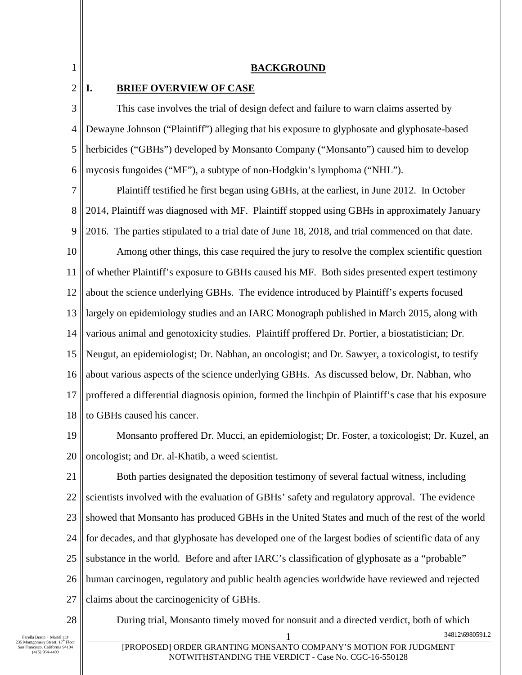1

2

#### **BACKGROUND**

#### **I. BRIEF OVERVIEW OF CASE**

3 4 5 6 This case involves the trial of design defect and failure to warn claims asserted by Dewayne Johnson ("Plaintiff") alleging that his exposure to glyphosate and glyphosate-based herbicides ("GBHs") developed by Monsanto Company ("Monsanto") caused him to develop mycosis fungoides ("MF"), a subtype of non-Hodgkin's lymphoma ("NHL").

7 8 9 Plaintiff testified he first began using GBHs, at the earliest, in June 2012. In October 2014, Plaintiff was diagnosed with MF. Plaintiff stopped using GBHs in approximately January 2016. The parties stipulated to a trial date of June 18, 2018, and trial commenced on that date.

10 11 12 13 14 15 16 17 18 Among other things, this case required the jury to resolve the complex scientific question of whether Plaintiff's exposure to GBHs caused his MF. Both sides presented expert testimony about the science underlying GBHs. The evidence introduced by Plaintiff's experts focused largely on epidemiology studies and an IARC Monograph published in March 2015, along with various animal and genotoxicity studies. Plaintiff proffered Dr. Portier, a biostatistician; Dr. Neugut, an epidemiologist; Dr. Nabhan, an oncologist; and Dr. Sawyer, a toxicologist, to testify about various aspects of the science underlying GBHs. As discussed below, Dr. Nabhan, who proffered a differential diagnosis opinion, formed the linchpin of Plaintiff's case that his exposure to GBHs caused his cancer.

19 20 Monsanto proffered Dr. Mucci, an epidemiologist; Dr. Foster, a toxicologist; Dr. Kuzel, an oncologist; and Dr. al-Khatib, a weed scientist.

21 22 23 24 25 26 27 Both parties designated the deposition testimony of several factual witness, including scientists involved with the evaluation of GBHs' safety and regulatory approval. The evidence showed that Monsanto has produced GBHs in the United States and much of the rest of the world for decades, and that glyphosate has developed one of the largest bodies of scientific data of any substance in the world. Before and after IARC's classification of glyphosate as a "probable" human carcinogen, regulatory and public health agencies worldwide have reviewed and rejected claims about the carcinogenicity of GBHs.

28

During trial, Monsanto timely moved for nonsuit and a directed verdict, both of which

34812\6980591.2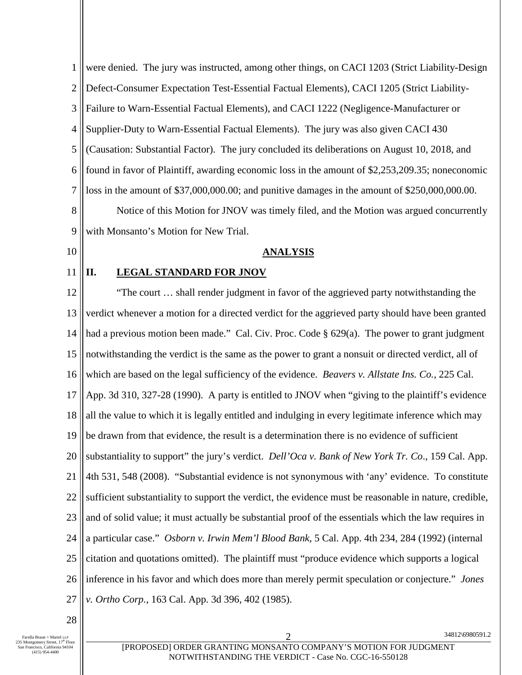1 2 3 4 5 6 7 8 9 10 11 12 13 14 15 16 17 18 19 20 21 22 23 24 25 26 27 28 were denied. The jury was instructed, among other things, on CACI 1203 (Strict Liability-Design Defect-Consumer Expectation Test-Essential Factual Elements), CACI 1205 (Strict Liability-Failure to Warn-Essential Factual Elements), and CACI 1222 (Negligence-Manufacturer or Supplier-Duty to Warn-Essential Factual Elements). The jury was also given CACI 430 (Causation: Substantial Factor). The jury concluded its deliberations on August 10, 2018, and found in favor of Plaintiff, awarding economic loss in the amount of \$2,253,209.35; noneconomic loss in the amount of \$37,000,000.00; and punitive damages in the amount of \$250,000,000.00. Notice of this Motion for JNOV was timely filed, and the Motion was argued concurrently with Monsanto's Motion for New Trial. **ANALYSIS II. LEGAL STANDARD FOR JNOV**  "The court … shall render judgment in favor of the aggrieved party notwithstanding the verdict whenever a motion for a directed verdict for the aggrieved party should have been granted had a previous motion been made." Cal. Civ. Proc. Code § 629(a). The power to grant judgment notwithstanding the verdict is the same as the power to grant a nonsuit or directed verdict, all of which are based on the legal sufficiency of the evidence. *Beavers v. Allstate Ins. Co.,* 225 Cal. App. 3d 310, 327-28 (1990). A party is entitled to JNOV when "giving to the plaintiff's evidence all the value to which it is legally entitled and indulging in every legitimate inference which may be drawn from that evidence, the result is a determination there is no evidence of sufficient substantiality to support" the jury's verdict. *Dell'Oca v. Bank of New York Tr. Co*., 159 Cal. App. 4th 531, 548 (2008). "Substantial evidence is not synonymous with 'any' evidence. To constitute sufficient substantiality to support the verdict, the evidence must be reasonable in nature, credible, and of solid value; it must actually be substantial proof of the essentials which the law requires in a particular case." *Osborn v. Irwin Mem'l Blood Bank*, 5 Cal. App. 4th 234, 284 (1992) (internal citation and quotations omitted). The plaintiff must "produce evidence which supports a logical inference in his favor and which does more than merely permit speculation or conjecture." *Jones v. Ortho Corp.*, 163 Cal. App. 3d 396, 402 (1985).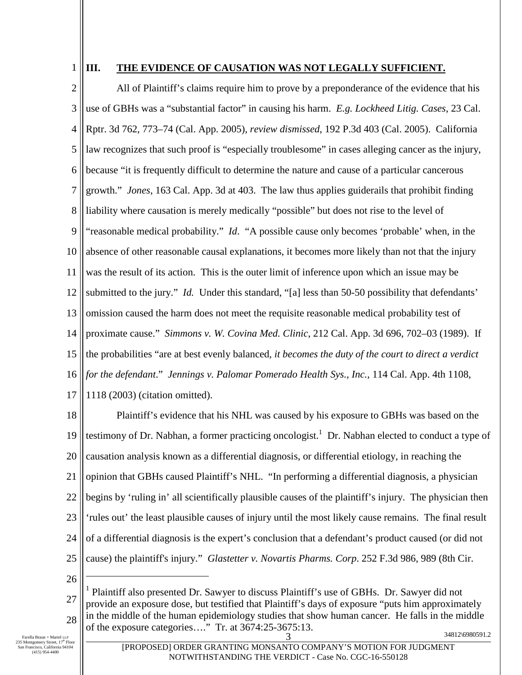1

## **III. THE EVIDENCE OF CAUSATION WAS NOT LEGALLY SUFFICIENT.**

2 3 4 5 6 7 8 9 10 11 12 13 14 15 16 17 All of Plaintiff's claims require him to prove by a preponderance of the evidence that his use of GBHs was a "substantial factor" in causing his harm. *E.g. Lockheed Litig. Cases*, 23 Cal. Rptr. 3d 762, 773–74 (Cal. App. 2005), *review dismissed*, 192 P.3d 403 (Cal. 2005). California law recognizes that such proof is "especially troublesome" in cases alleging cancer as the injury, because "it is frequently difficult to determine the nature and cause of a particular cancerous growth." *Jones*, 163 Cal. App. 3d at 403. The law thus applies guiderails that prohibit finding liability where causation is merely medically "possible" but does not rise to the level of "reasonable medical probability." *Id*. "A possible cause only becomes 'probable' when, in the absence of other reasonable causal explanations, it becomes more likely than not that the injury was the result of its action. This is the outer limit of inference upon which an issue may be submitted to the jury." *Id.* Under this standard, "[a] less than 50-50 possibility that defendants' omission caused the harm does not meet the requisite reasonable medical probability test of proximate cause." *Simmons v. W. Covina Med. Clinic*, 212 Cal. App. 3d 696, 702–03 (1989). If the probabilities "are at best evenly balanced*, it becomes the duty of the court to direct a verdict for the defendant*." *Jennings v. Palomar Pomerado Health Sys., Inc.*, 114 Cal. App. 4th 1108, 1118 (2003) (citation omitted).

18 19 20 21 22 23 24 25 Plaintiff's evidence that his NHL was caused by his exposure to GBHs was based on the testimony of Dr. Nabhan, a former practicing oncologist.<sup>1</sup> Dr. Nabhan elected to conduct a type of causation analysis known as a differential diagnosis, or differential etiology, in reaching the opinion that GBHs caused Plaintiff's NHL. "In performing a differential diagnosis, a physician begins by 'ruling in' all scientifically plausible causes of the plaintiff's injury. The physician then 'rules out' the least plausible causes of injury until the most likely cause remains. The final result of a differential diagnosis is the expert's conclusion that a defendant's product caused (or did not cause) the plaintiff's injury." *Glastetter v. Novartis Pharms. Corp*. 252 F.3d 986, 989 (8th Cir.

<sup>27</sup> 28 3 34812\6980591.2 1 Plaintiff also presented Dr. Sawyer to discuss Plaintiff's use of GBHs. Dr. Sawyer did not provide an exposure dose, but testified that Plaintiff's days of exposure "puts him approximately in the middle of the human epidemiology studies that show human cancer. He falls in the middle of the exposure categories…." Tr. at 3674:25-3675:13.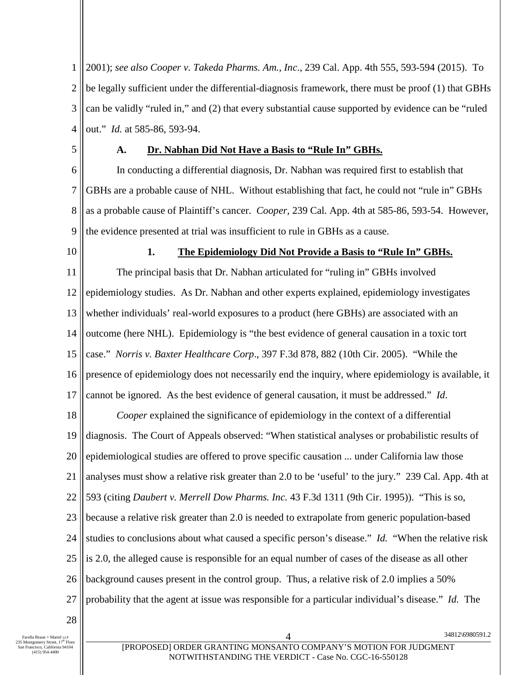1 2 3 4 2001); *see also Cooper v. Takeda Pharms. Am., Inc*., 239 Cal. App. 4th 555, 593-594 (2015). To be legally sufficient under the differential-diagnosis framework, there must be proof (1) that GBHs can be validly "ruled in," and (2) that every substantial cause supported by evidence can be "ruled out." *Id.* at 585-86, 593-94.

5

### **A. Dr. Nabhan Did Not Have a Basis to "Rule In" GBHs.**

6 7 8 9 In conducting a differential diagnosis, Dr. Nabhan was required first to establish that GBHs are a probable cause of NHL. Without establishing that fact, he could not "rule in" GBHs as a probable cause of Plaintiff's cancer. *Cooper,* 239 Cal. App. 4th at 585-86, 593-54. However, the evidence presented at trial was insufficient to rule in GBHs as a cause.

10

#### **1. The Epidemiology Did Not Provide a Basis to "Rule In" GBHs.**

11 12 13 14 15 16 17 The principal basis that Dr. Nabhan articulated for "ruling in" GBHs involved epidemiology studies. As Dr. Nabhan and other experts explained, epidemiology investigates whether individuals' real-world exposures to a product (here GBHs) are associated with an outcome (here NHL). Epidemiology is "the best evidence of general causation in a toxic tort case." *Norris v. Baxter Healthcare Corp*., 397 F.3d 878, 882 (10th Cir. 2005). "While the presence of epidemiology does not necessarily end the inquiry, where epidemiology is available, it cannot be ignored. As the best evidence of general causation, it must be addressed." *Id*.

18 19 20 21 22 23 24 25 26 27 *Cooper* explained the significance of epidemiology in the context of a differential diagnosis. The Court of Appeals observed: "When statistical analyses or probabilistic results of epidemiological studies are offered to prove specific causation ... under California law those analyses must show a relative risk greater than 2.0 to be 'useful' to the jury." 239 Cal. App. 4th at 593 (citing *Daubert v. Merrell Dow Pharms. Inc.* 43 F.3d 1311 (9th Cir. 1995)). "This is so, because a relative risk greater than 2.0 is needed to extrapolate from generic population-based studies to conclusions about what caused a specific person's disease." *Id.* "When the relative risk is 2.0, the alleged cause is responsible for an equal number of cases of the disease as all other background causes present in the control group. Thus, a relative risk of 2.0 implies a 50% probability that the agent at issue was responsible for a particular individual's disease." *Id.* The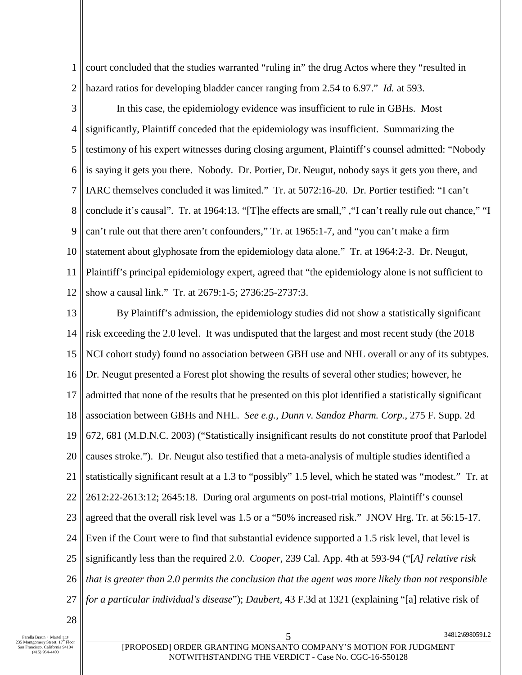1 court concluded that the studies warranted "ruling in" the drug Actos where they "resulted in hazard ratios for developing bladder cancer ranging from 2.54 to 6.97." *Id.* at 593.

2

3 4 5 6 7 8 9 10 11 12 In this case, the epidemiology evidence was insufficient to rule in GBHs. Most significantly, Plaintiff conceded that the epidemiology was insufficient. Summarizing the testimony of his expert witnesses during closing argument, Plaintiff's counsel admitted: "Nobody is saying it gets you there. Nobody. Dr. Portier, Dr. Neugut, nobody says it gets you there, and IARC themselves concluded it was limited." Tr. at 5072:16-20. Dr. Portier testified: "I can't conclude it's causal". Tr. at 1964:13. "[T]he effects are small," ,"I can't really rule out chance," "I can't rule out that there aren't confounders," Tr. at 1965:1-7, and "you can't make a firm statement about glyphosate from the epidemiology data alone." Tr. at 1964:2-3. Dr. Neugut, Plaintiff's principal epidemiology expert, agreed that "the epidemiology alone is not sufficient to show a causal link." Tr. at 2679:1-5; 2736:25-2737:3.

13 14 15 16 17 18 19 20 21 22 23 24 25 26 27 By Plaintiff's admission, the epidemiology studies did not show a statistically significant risk exceeding the 2.0 level. It was undisputed that the largest and most recent study (the 2018 NCI cohort study) found no association between GBH use and NHL overall or any of its subtypes. Dr. Neugut presented a Forest plot showing the results of several other studies; however, he admitted that none of the results that he presented on this plot identified a statistically significant association between GBHs and NHL. *See e.g., Dunn v. Sandoz Pharm. Corp.*, 275 F. Supp. 2d 672, 681 (M.D.N.C. 2003) ("Statistically insignificant results do not constitute proof that Parlodel causes stroke."). Dr. Neugut also testified that a meta-analysis of multiple studies identified a statistically significant result at a 1.3 to "possibly" 1.5 level, which he stated was "modest." Tr. at 2612:22-2613:12; 2645:18. During oral arguments on post-trial motions, Plaintiff's counsel agreed that the overall risk level was 1.5 or a "50% increased risk." JNOV Hrg. Tr. at 56:15-17. Even if the Court were to find that substantial evidence supported a 1.5 risk level, that level is significantly less than the required 2.0. *Cooper*, 239 Cal. App. 4th at 593-94 ("[*A] relative risk that is greater than 2.0 permits the conclusion that the agent was more likely than not responsible for a particular individual's disease*"); *Daubert,* 43 F.3d at 1321 (explaining "[a] relative risk of

28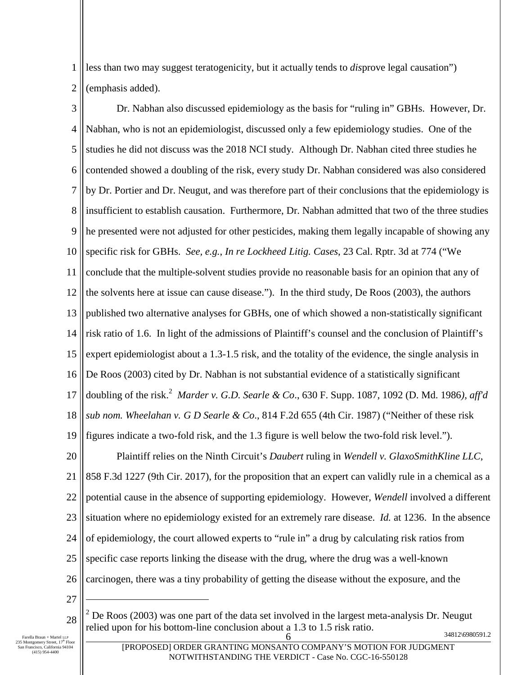1 2 less than two may suggest teratogenicity, but it actually tends to *dis*prove legal causation") (emphasis added).

3 4 5 6 7 8 9 10 11 12 13 14 15 16 17 18 19 Dr. Nabhan also discussed epidemiology as the basis for "ruling in" GBHs. However, Dr. Nabhan, who is not an epidemiologist, discussed only a few epidemiology studies. One of the studies he did not discuss was the 2018 NCI study. Although Dr. Nabhan cited three studies he contended showed a doubling of the risk, every study Dr. Nabhan considered was also considered by Dr. Portier and Dr. Neugut, and was therefore part of their conclusions that the epidemiology is insufficient to establish causation. Furthermore, Dr. Nabhan admitted that two of the three studies he presented were not adjusted for other pesticides, making them legally incapable of showing any specific risk for GBHs. *See, e.g.*, *In re Lockheed Litig. Cases*, 23 Cal. Rptr. 3d at 774 ("We conclude that the multiple-solvent studies provide no reasonable basis for an opinion that any of the solvents here at issue can cause disease."). In the third study, De Roos (2003), the authors published two alternative analyses for GBHs, one of which showed a non-statistically significant risk ratio of 1.6. In light of the admissions of Plaintiff's counsel and the conclusion of Plaintiff's expert epidemiologist about a 1.3-1.5 risk, and the totality of the evidence, the single analysis in De Roos (2003) cited by Dr. Nabhan is not substantial evidence of a statistically significant doubling of the risk.<sup>2</sup> *Marder v. G.D. Searle & Co*., 630 F. Supp. 1087, 1092 (D. Md. 1986*), aff'd sub nom. Wheelahan v. G D Searle & Co*., 814 F.2d 655 (4th Cir. 1987) ("Neither of these risk figures indicate a two-fold risk, and the 1.3 figure is well below the two-fold risk level.").

20 21 22 23 24 25 26 Plaintiff relies on the Ninth Circuit's *Daubert* ruling in *Wendell v. GlaxoSmithKline LLC*, 858 F.3d 1227 (9th Cir. 2017), for the proposition that an expert can validly rule in a chemical as a potential cause in the absence of supporting epidemiology. However, *Wendell* involved a different situation where no epidemiology existed for an extremely rare disease. *Id.* at 1236. In the absence of epidemiology, the court allowed experts to "rule in" a drug by calculating risk ratios from specific case reports linking the disease with the drug, where the drug was a well-known carcinogen, there was a tiny probability of getting the disease without the exposure, and the

27

<sup>6</sup>  $2^{2}$  De Roos (2003) was one part of the data set involved in the largest meta-analysis Dr. Neugut relied upon for his bottom-line conclusion about a 1.3 to 1.5 risk ratio.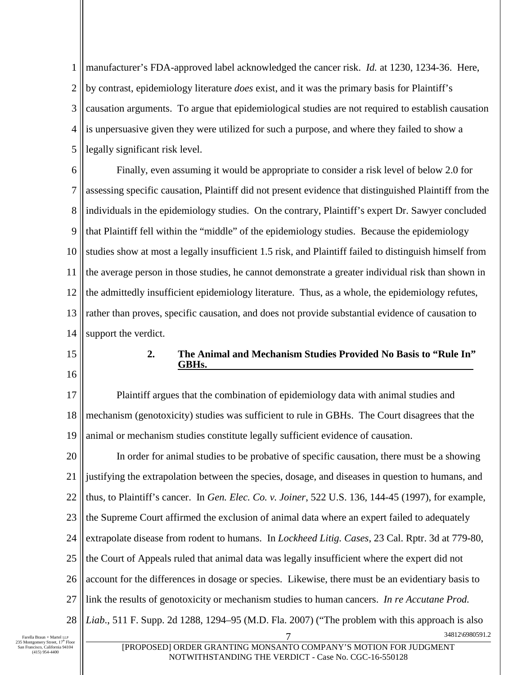1 2 3 4 5 manufacturer's FDA-approved label acknowledged the cancer risk. *Id.* at 1230, 1234-36. Here, by contrast, epidemiology literature *does* exist, and it was the primary basis for Plaintiff's causation arguments. To argue that epidemiological studies are not required to establish causation is unpersuasive given they were utilized for such a purpose, and where they failed to show a legally significant risk level.

6 7 8 9 10 11 12 13 14 Finally, even assuming it would be appropriate to consider a risk level of below 2.0 for assessing specific causation, Plaintiff did not present evidence that distinguished Plaintiff from the individuals in the epidemiology studies. On the contrary, Plaintiff's expert Dr. Sawyer concluded that Plaintiff fell within the "middle" of the epidemiology studies. Because the epidemiology studies show at most a legally insufficient 1.5 risk, and Plaintiff failed to distinguish himself from the average person in those studies, he cannot demonstrate a greater individual risk than shown in the admittedly insufficient epidemiology literature. Thus, as a whole, the epidemiology refutes, rather than proves, specific causation, and does not provide substantial evidence of causation to support the verdict.

- 15
- 16

## **2. The Animal and Mechanism Studies Provided No Basis to "Rule In" GBHs.**

17 18 19 Plaintiff argues that the combination of epidemiology data with animal studies and mechanism (genotoxicity) studies was sufficient to rule in GBHs. The Court disagrees that the animal or mechanism studies constitute legally sufficient evidence of causation.

20 21 22 23 24 25 26 27 28 7 34812\6980591.2 In order for animal studies to be probative of specific causation, there must be a showing justifying the extrapolation between the species, dosage, and diseases in question to humans, and thus, to Plaintiff's cancer. In *Gen. Elec. Co. v. Joiner*, 522 U.S. 136, 144-45 (1997), for example, the Supreme Court affirmed the exclusion of animal data where an expert failed to adequately extrapolate disease from rodent to humans. In *Lockheed Litig. Cases*, 23 Cal. Rptr. 3d at 779-80, the Court of Appeals ruled that animal data was legally insufficient where the expert did not account for the differences in dosage or species. Likewise, there must be an evidentiary basis to link the results of genotoxicity or mechanism studies to human cancers. *In re Accutane Prod. Liab*., 511 F. Supp. 2d 1288, 1294–95 (M.D. Fla. 2007) ("The problem with this approach is also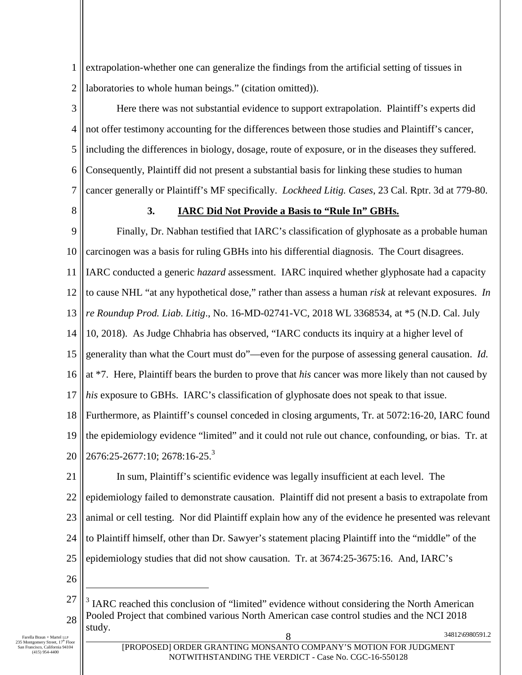1 2 extrapolation-whether one can generalize the findings from the artificial setting of tissues in laboratories to whole human beings." (citation omitted)).

3 4 5 6 7 Here there was not substantial evidence to support extrapolation. Plaintiff's experts did not offer testimony accounting for the differences between those studies and Plaintiff's cancer, including the differences in biology, dosage, route of exposure, or in the diseases they suffered. Consequently, Plaintiff did not present a substantial basis for linking these studies to human cancer generally or Plaintiff's MF specifically. *Lockheed Litig. Cases*, 23 Cal. Rptr. 3d at 779-80.

8

### **3. IARC Did Not Provide a Basis to "Rule In" GBHs.**

9 10 11 12 13 14 15 16 17 18 19 Finally, Dr. Nabhan testified that IARC's classification of glyphosate as a probable human carcinogen was a basis for ruling GBHs into his differential diagnosis. The Court disagrees. IARC conducted a generic *hazard* assessment. IARC inquired whether glyphosate had a capacity to cause NHL "at any hypothetical dose," rather than assess a human *risk* at relevant exposures. *In re Roundup Prod. Liab. Litig*., No. 16-MD-02741-VC, 2018 WL 3368534, at \*5 (N.D. Cal. July 10, 2018). As Judge Chhabria has observed, "IARC conducts its inquiry at a higher level of generality than what the Court must do"—even for the purpose of assessing general causation. *Id.*  at \*7. Here, Plaintiff bears the burden to prove that *his* cancer was more likely than not caused by *his* exposure to GBHs. IARC's classification of glyphosate does not speak to that issue. Furthermore, as Plaintiff's counsel conceded in closing arguments, Tr. at 5072:16-20, IARC found the epidemiology evidence "limited" and it could not rule out chance, confounding, or bias. Tr. at

20  $2676:25-2677:10$ ;  $2678:16-25$ .<sup>3</sup>

21 22 23 24 25 In sum, Plaintiff's scientific evidence was legally insufficient at each level. The epidemiology failed to demonstrate causation. Plaintiff did not present a basis to extrapolate from animal or cell testing. Nor did Plaintiff explain how any of the evidence he presented was relevant to Plaintiff himself, other than Dr. Sawyer's statement placing Plaintiff into the "middle" of the epidemiology studies that did not show causation. Tr. at 3674:25-3675:16. And, IARC's

<sup>27</sup> 28 34812\6980591.2 <sup>3</sup> IARC reached this conclusion of "limited" evidence without considering the North American Pooled Project that combined various North American case control studies and the NCI 2018 study.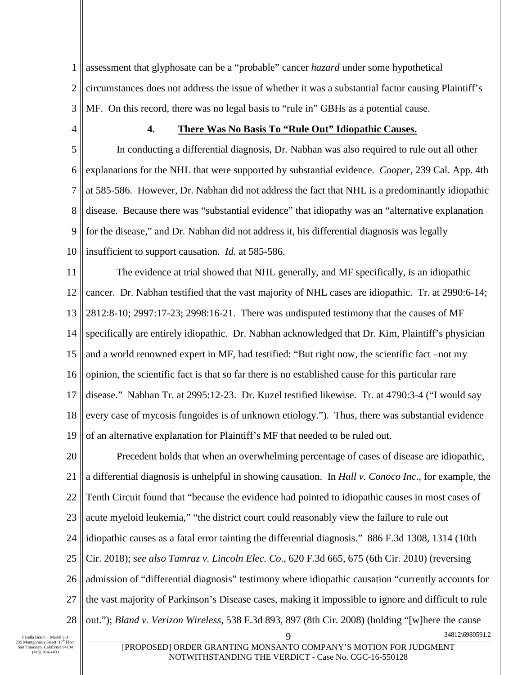1 2 3 assessment that glyphosate can be a "probable" cancer *hazard* under some hypothetical circumstances does not address the issue of whether it was a substantial factor causing Plaintiff's MF. On this record, there was no legal basis to "rule in" GBHs as a potential cause.

4

### **4. There Was No Basis To "Rule Out" Idiopathic Causes.**

5 6 7 8 9 10 In conducting a differential diagnosis, Dr. Nabhan was also required to rule out all other explanations for the NHL that were supported by substantial evidence. *Cooper*, 239 Cal. App. 4th at 585-586. However, Dr. Nabhan did not address the fact that NHL is a predominantly idiopathic disease. Because there was "substantial evidence" that idiopathy was an "alternative explanation for the disease," and Dr. Nabhan did not address it, his differential diagnosis was legally insufficient to support causation. *Id.* at 585-586.

11 12 13 14 15 16 17 18 19 The evidence at trial showed that NHL generally, and MF specifically, is an idiopathic cancer. Dr. Nabhan testified that the vast majority of NHL cases are idiopathic. Tr. at 2990:6-14; 2812:8-10; 2997:17-23; 2998:16-21. There was undisputed testimony that the causes of MF specifically are entirely idiopathic. Dr. Nabhan acknowledged that Dr. Kim, Plaintiff's physician and a world renowned expert in MF, had testified: "But right now, the scientific fact –not my opinion, the scientific fact is that so far there is no established cause for this particular rare disease." Nabhan Tr. at 2995:12-23. Dr. Kuzel testified likewise. Tr. at 4790:3-4 ("I would say every case of mycosis fungoides is of unknown etiology."). Thus, there was substantial evidence of an alternative explanation for Plaintiff's MF that needed to be ruled out.

20 21 22 23 24 25 26 27 28 9 34812\6980591.2 Precedent holds that when an overwhelming percentage of cases of disease are idiopathic, a differential diagnosis is unhelpful in showing causation. In *Hall v. Conoco Inc*., for example, the Tenth Circuit found that "because the evidence had pointed to idiopathic causes in most cases of acute myeloid leukemia," "the district court could reasonably view the failure to rule out idiopathic causes as a fatal error tainting the differential diagnosis." 886 F.3d 1308, 1314 (10th Cir. 2018); *see also Tamraz v. Lincoln Elec. Co*., 620 F.3d 665, 675 (6th Cir. 2010) (reversing admission of "differential diagnosis" testimony where idiopathic causation "currently accounts for the vast majority of Parkinson's Disease cases, making it impossible to ignore and difficult to rule out."); *Bland v. Verizon Wireless*, 538 F.3d 893, 897 (8th Cir. 2008) (holding "[w]here the cause

Farella Braun + Martel LLP<br>235 Montgomery Street,  $17<sup>th</sup>$  Floor n Francisco, California 94104 (415) 954-4400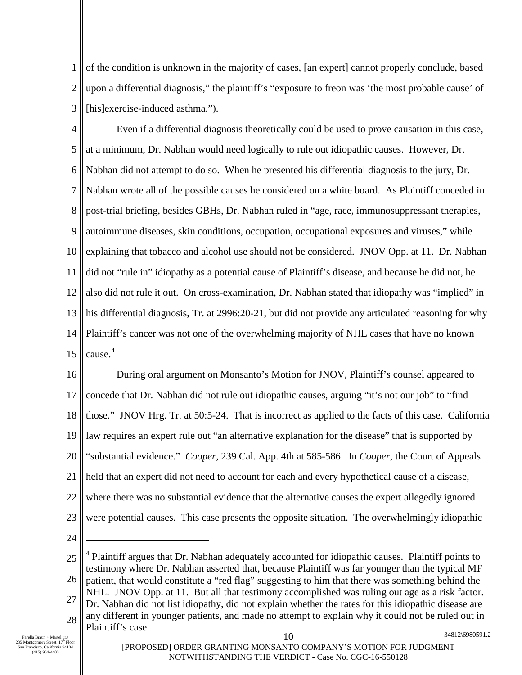1 2 3 of the condition is unknown in the majority of cases, [an expert] cannot properly conclude, based upon a differential diagnosis," the plaintiff's "exposure to freon was 'the most probable cause' of [his]exercise-induced asthma.").

4 5 6 7 8 9 10 11 12 13 14 15 Even if a differential diagnosis theoretically could be used to prove causation in this case, at a minimum, Dr. Nabhan would need logically to rule out idiopathic causes. However, Dr. Nabhan did not attempt to do so. When he presented his differential diagnosis to the jury, Dr. Nabhan wrote all of the possible causes he considered on a white board. As Plaintiff conceded in post-trial briefing, besides GBHs, Dr. Nabhan ruled in "age, race, immunosuppressant therapies, autoimmune diseases, skin conditions, occupation, occupational exposures and viruses," while explaining that tobacco and alcohol use should not be considered. JNOV Opp. at 11. Dr. Nabhan did not "rule in" idiopathy as a potential cause of Plaintiff's disease, and because he did not, he also did not rule it out. On cross-examination, Dr. Nabhan stated that idiopathy was "implied" in his differential diagnosis, Tr. at 2996:20-21, but did not provide any articulated reasoning for why Plaintiff's cancer was not one of the overwhelming majority of NHL cases that have no known cause. 4

16 17 18 19 20 21 22 23 During oral argument on Monsanto's Motion for JNOV, Plaintiff's counsel appeared to concede that Dr. Nabhan did not rule out idiopathic causes, arguing "it's not our job" to "find those." JNOV Hrg. Tr. at 50:5-24. That is incorrect as applied to the facts of this case. California law requires an expert rule out "an alternative explanation for the disease" that is supported by "substantial evidence." *Cooper*, 239 Cal. App. 4th at 585-586. In *Cooper*, the Court of Appeals held that an expert did not need to account for each and every hypothetical cause of a disease, where there was no substantial evidence that the alternative causes the expert allegedly ignored were potential causes. This case presents the opposite situation. The overwhelmingly idiopathic

25 26 27 28 10 34812\6980591.2 <sup>4</sup> Plaintiff argues that Dr. Nabhan adequately accounted for idiopathic causes. Plaintiff points to testimony where Dr. Nabhan asserted that, because Plaintiff was far younger than the typical MF patient, that would constitute a "red flag" suggesting to him that there was something behind the NHL. JNOV Opp. at 11. But all that testimony accomplished was ruling out age as a risk factor. Dr. Nabhan did not list idiopathy, did not explain whether the rates for this idiopathic disease are any different in younger patients, and made no attempt to explain why it could not be ruled out in Plaintiff's case.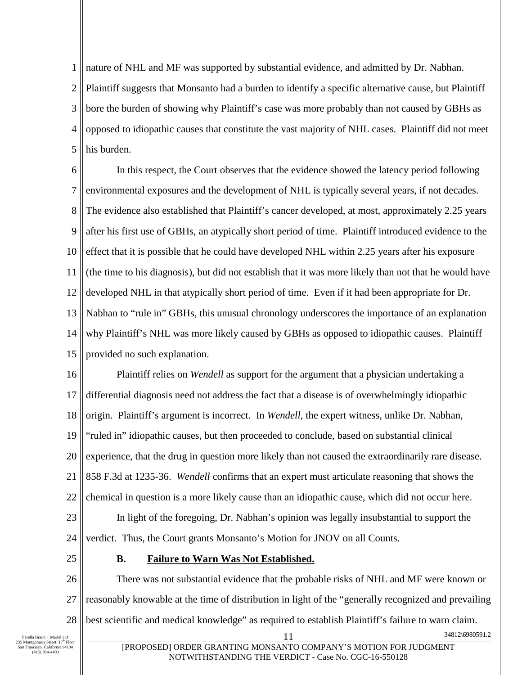1 nature of NHL and MF was supported by substantial evidence, and admitted by Dr. Nabhan.

2 3 4 5 Plaintiff suggests that Monsanto had a burden to identify a specific alternative cause, but Plaintiff bore the burden of showing why Plaintiff's case was more probably than not caused by GBHs as opposed to idiopathic causes that constitute the vast majority of NHL cases. Plaintiff did not meet his burden.

6 7 8 9 10 11 12 13 14 15 In this respect, the Court observes that the evidence showed the latency period following environmental exposures and the development of NHL is typically several years, if not decades. The evidence also established that Plaintiff's cancer developed, at most, approximately 2.25 years after his first use of GBHs, an atypically short period of time. Plaintiff introduced evidence to the effect that it is possible that he could have developed NHL within 2.25 years after his exposure (the time to his diagnosis), but did not establish that it was more likely than not that he would have developed NHL in that atypically short period of time. Even if it had been appropriate for Dr. Nabhan to "rule in" GBHs, this unusual chronology underscores the importance of an explanation why Plaintiff's NHL was more likely caused by GBHs as opposed to idiopathic causes. Plaintiff provided no such explanation.

16 17 18 19 20 21 22 23 24 Plaintiff relies on *Wendell* as support for the argument that a physician undertaking a differential diagnosis need not address the fact that a disease is of overwhelmingly idiopathic origin. Plaintiff's argument is incorrect. In *Wendell*, the expert witness, unlike Dr. Nabhan, "ruled in" idiopathic causes, but then proceeded to conclude, based on substantial clinical experience, that the drug in question more likely than not caused the extraordinarily rare disease. 858 F.3d at 1235-36. *Wendell* confirms that an expert must articulate reasoning that shows the chemical in question is a more likely cause than an idiopathic cause, which did not occur here. In light of the foregoing, Dr. Nabhan's opinion was legally insubstantial to support the verdict. Thus, the Court grants Monsanto's Motion for JNOV on all Counts.

25

## **B. Failure to Warn Was Not Established.**

26 27 28 There was not substantial evidence that the probable risks of NHL and MF were known or reasonably knowable at the time of distribution in light of the "generally recognized and prevailing best scientific and medical knowledge" as required to establish Plaintiff's failure to warn claim.

Farella Braun + Martel LLP<br>235 Montgomery Street, 17<sup>th</sup> Floor<br>San Francisco, California 94104 (415) 954-4400

34812\6980591.2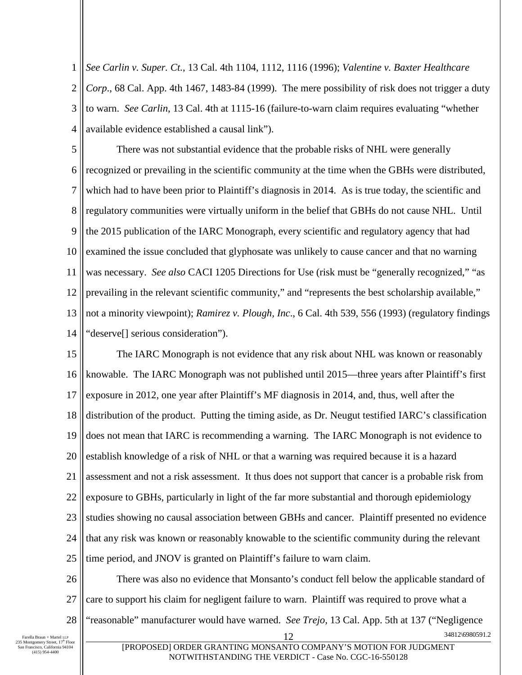1 2 3 4 *See Carlin v. Super. Ct.*, 13 Cal. 4th 1104, 1112, 1116 (1996); *Valentine v. Baxter Healthcare Corp*., 68 Cal. App. 4th 1467, 1483-84 (1999). The mere possibility of risk does not trigger a duty to warn. *See Carlin*, 13 Cal. 4th at 1115-16 (failure-to-warn claim requires evaluating "whether available evidence established a causal link").

5 6 7 8 9 10 11 12 13 14 There was not substantial evidence that the probable risks of NHL were generally recognized or prevailing in the scientific community at the time when the GBHs were distributed, which had to have been prior to Plaintiff's diagnosis in 2014. As is true today, the scientific and regulatory communities were virtually uniform in the belief that GBHs do not cause NHL. Until the 2015 publication of the IARC Monograph, every scientific and regulatory agency that had examined the issue concluded that glyphosate was unlikely to cause cancer and that no warning was necessary. *See also* CACI 1205 Directions for Use (risk must be "generally recognized," "as prevailing in the relevant scientific community," and "represents the best scholarship available," not a minority viewpoint); *Ramirez v. Plough, Inc*., 6 Cal. 4th 539, 556 (1993) (regulatory findings "deserve[] serious consideration").

15 16 17 18 19 20 21 22 23 24 25 The IARC Monograph is not evidence that any risk about NHL was known or reasonably knowable. The IARC Monograph was not published until 2015—three years after Plaintiff's first exposure in 2012, one year after Plaintiff's MF diagnosis in 2014, and, thus, well after the distribution of the product. Putting the timing aside, as Dr. Neugut testified IARC's classification does not mean that IARC is recommending a warning. The IARC Monograph is not evidence to establish knowledge of a risk of NHL or that a warning was required because it is a hazard assessment and not a risk assessment. It thus does not support that cancer is a probable risk from exposure to GBHs, particularly in light of the far more substantial and thorough epidemiology studies showing no causal association between GBHs and cancer. Plaintiff presented no evidence that any risk was known or reasonably knowable to the scientific community during the relevant time period, and JNOV is granted on Plaintiff's failure to warn claim.

26 27 28 12 34812\6980591.2 There was also no evidence that Monsanto's conduct fell below the applicable standard of care to support his claim for negligent failure to warn. Plaintiff was required to prove what a "reasonable" manufacturer would have warned. *See Trejo,* 13 Cal. App. 5th at 137 ("Negligence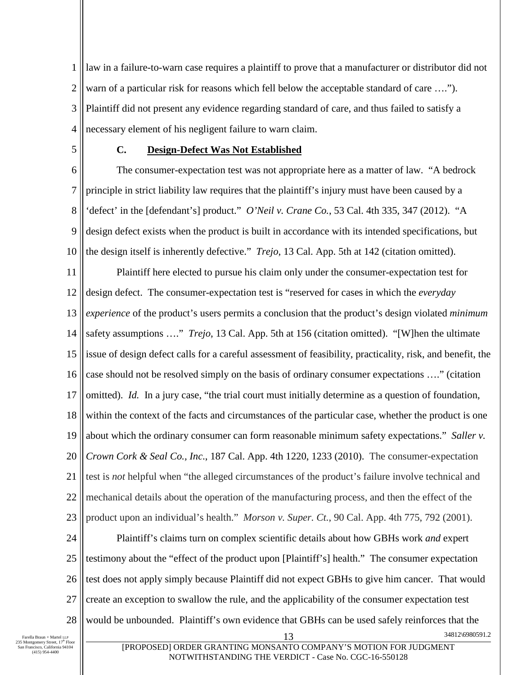1 2 3 4 law in a failure-to-warn case requires a plaintiff to prove that a manufacturer or distributor did not warn of a particular risk for reasons which fell below the acceptable standard of care ...."). Plaintiff did not present any evidence regarding standard of care, and thus failed to satisfy a necessary element of his negligent failure to warn claim.

5

## **C. Design-Defect Was Not Established**

6 7 8 9 10 The consumer-expectation test was not appropriate here as a matter of law. "A bedrock principle in strict liability law requires that the plaintiff's injury must have been caused by a 'defect' in the [defendant's] product." *O'Neil v. Crane Co.*, 53 Cal. 4th 335, 347 (2012). "A design defect exists when the product is built in accordance with its intended specifications, but the design itself is inherently defective." *Trejo*, 13 Cal. App. 5th at 142 (citation omitted).

11 12 13 14 15 16 17 18 19 20 21 22 23 Plaintiff here elected to pursue his claim only under the consumer-expectation test for design defect. The consumer-expectation test is "reserved for cases in which the *everyday experience* of the product's users permits a conclusion that the product's design violated *minimum* safety assumptions …." *Trejo*, 13 Cal. App. 5th at 156 (citation omitted). "[W]hen the ultimate issue of design defect calls for a careful assessment of feasibility, practicality, risk, and benefit, the case should not be resolved simply on the basis of ordinary consumer expectations …." (citation omitted). *Id.* In a jury case, "the trial court must initially determine as a question of foundation, within the context of the facts and circumstances of the particular case, whether the product is one about which the ordinary consumer can form reasonable minimum safety expectations." *Saller v. Crown Cork & Seal Co., Inc*., 187 Cal. App. 4th 1220, 1233 (2010). The consumer-expectation test is *not* helpful when "the alleged circumstances of the product's failure involve technical and mechanical details about the operation of the manufacturing process, and then the effect of the product upon an individual's health." *Morson v. Super. Ct.*, 90 Cal. App. 4th 775, 792 (2001).

24 25 26 27 28 13 34812\6980591.2 Plaintiff's claims turn on complex scientific details about how GBHs work *and* expert testimony about the "effect of the product upon [Plaintiff's] health." The consumer expectation test does not apply simply because Plaintiff did not expect GBHs to give him cancer. That would create an exception to swallow the rule, and the applicability of the consumer expectation test would be unbounded. Plaintiff's own evidence that GBHs can be used safely reinforces that the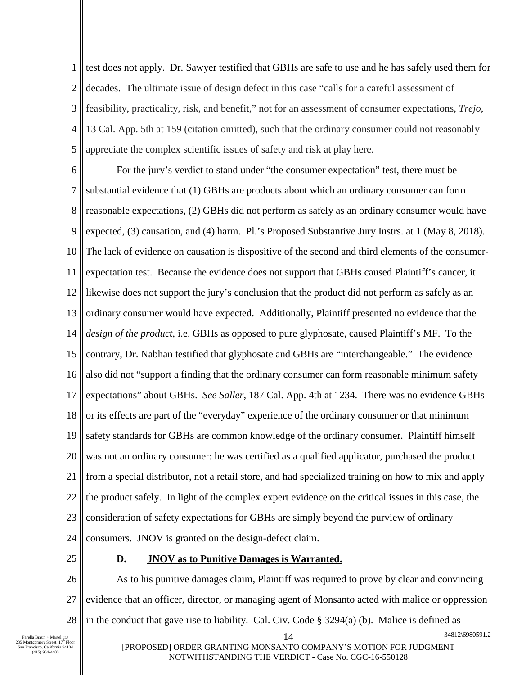1 2 3 4 5 test does not apply. Dr. Sawyer testified that GBHs are safe to use and he has safely used them for decades. The ultimate issue of design defect in this case "calls for a careful assessment of feasibility, practicality, risk, and benefit," not for an assessment of consumer expectations, *Trejo*, 13 Cal. App. 5th at 159 (citation omitted), such that the ordinary consumer could not reasonably appreciate the complex scientific issues of safety and risk at play here.

6 7 8 9 10 11 12 13 14 15 16 17 18 19 20 21 22 23 24 For the jury's verdict to stand under "the consumer expectation" test, there must be substantial evidence that (1) GBHs are products about which an ordinary consumer can form reasonable expectations, (2) GBHs did not perform as safely as an ordinary consumer would have expected, (3) causation, and (4) harm. Pl.'s Proposed Substantive Jury Instrs. at 1 (May 8, 2018). The lack of evidence on causation is dispositive of the second and third elements of the consumerexpectation test. Because the evidence does not support that GBHs caused Plaintiff's cancer, it likewise does not support the jury's conclusion that the product did not perform as safely as an ordinary consumer would have expected. Additionally, Plaintiff presented no evidence that the *design of the product*, i.e. GBHs as opposed to pure glyphosate, caused Plaintiff's MF. To the contrary, Dr. Nabhan testified that glyphosate and GBHs are "interchangeable." The evidence also did not "support a finding that the ordinary consumer can form reasonable minimum safety expectations" about GBHs. *See Saller*, 187 Cal. App. 4th at 1234. There was no evidence GBHs or its effects are part of the "everyday" experience of the ordinary consumer or that minimum safety standards for GBHs are common knowledge of the ordinary consumer. Plaintiff himself was not an ordinary consumer: he was certified as a qualified applicator, purchased the product from a special distributor, not a retail store, and had specialized training on how to mix and apply the product safely. In light of the complex expert evidence on the critical issues in this case, the consideration of safety expectations for GBHs are simply beyond the purview of ordinary consumers. JNOV is granted on the design-defect claim.

25

#### **D. JNOV as to Punitive Damages is Warranted.**

26 27 28 14 34812\6980591.2 As to his punitive damages claim, Plaintiff was required to prove by clear and convincing evidence that an officer, director, or managing agent of Monsanto acted with malice or oppression in the conduct that gave rise to liability. Cal. Civ. Code § 3294(a) (b). Malice is defined as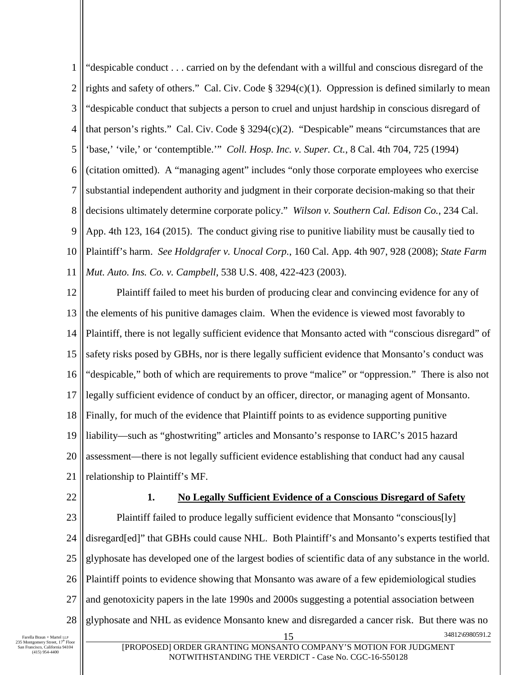1 2 3 4 5 6 7 8 9 10 11 "despicable conduct . . . carried on by the defendant with a willful and conscious disregard of the rights and safety of others." Cal. Civ. Code  $\S 3294(c)(1)$ . Oppression is defined similarly to mean "despicable conduct that subjects a person to cruel and unjust hardship in conscious disregard of that person's rights." Cal. Civ. Code § 3294(c)(2). "Despicable" means "circumstances that are 'base,' 'vile,' or 'contemptible.'" *Coll. Hosp. Inc. v. Super. Ct.*, 8 Cal. 4th 704, 725 (1994) (citation omitted). A "managing agent" includes "only those corporate employees who exercise substantial independent authority and judgment in their corporate decision-making so that their decisions ultimately determine corporate policy." *Wilson v. Southern Cal. Edison Co.*, 234 Cal. App. 4th 123, 164 (2015). The conduct giving rise to punitive liability must be causally tied to Plaintiff's harm. *See Holdgrafer v. Unocal Corp.*, 160 Cal. App. 4th 907, 928 (2008); *State Farm Mut. Auto. Ins. Co. v. Campbell*, 538 U.S. 408, 422-423 (2003).

12 13 14 15 16 17 18 19 20 21 Plaintiff failed to meet his burden of producing clear and convincing evidence for any of the elements of his punitive damages claim. When the evidence is viewed most favorably to Plaintiff, there is not legally sufficient evidence that Monsanto acted with "conscious disregard" of safety risks posed by GBHs, nor is there legally sufficient evidence that Monsanto's conduct was "despicable," both of which are requirements to prove "malice" or "oppression." There is also not legally sufficient evidence of conduct by an officer, director, or managing agent of Monsanto. Finally, for much of the evidence that Plaintiff points to as evidence supporting punitive liability—such as "ghostwriting" articles and Monsanto's response to IARC's 2015 hazard assessment—there is not legally sufficient evidence establishing that conduct had any causal relationship to Plaintiff's MF.

22

#### **1. No Legally Sufficient Evidence of a Conscious Disregard of Safety**

23 24 25 26 27 28 34812\6980591.2 Plaintiff failed to produce legally sufficient evidence that Monsanto "conscious[ly] disregard[ed]" that GBHs could cause NHL. Both Plaintiff's and Monsanto's experts testified that glyphosate has developed one of the largest bodies of scientific data of any substance in the world. Plaintiff points to evidence showing that Monsanto was aware of a few epidemiological studies and genotoxicity papers in the late 1990s and 2000s suggesting a potential association between glyphosate and NHL as evidence Monsanto knew and disregarded a cancer risk. But there was no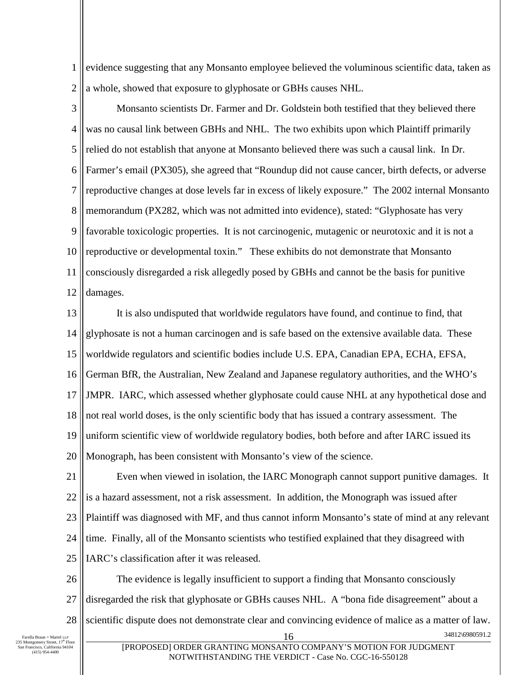1 2 evidence suggesting that any Monsanto employee believed the voluminous scientific data, taken as a whole, showed that exposure to glyphosate or GBHs causes NHL.

3 4 5 6 7 8 9 10 11 12 Monsanto scientists Dr. Farmer and Dr. Goldstein both testified that they believed there was no causal link between GBHs and NHL. The two exhibits upon which Plaintiff primarily relied do not establish that anyone at Monsanto believed there was such a causal link. In Dr. Farmer's email (PX305), she agreed that "Roundup did not cause cancer, birth defects, or adverse reproductive changes at dose levels far in excess of likely exposure." The 2002 internal Monsanto memorandum (PX282, which was not admitted into evidence), stated: "Glyphosate has very favorable toxicologic properties. It is not carcinogenic, mutagenic or neurotoxic and it is not a reproductive or developmental toxin." These exhibits do not demonstrate that Monsanto consciously disregarded a risk allegedly posed by GBHs and cannot be the basis for punitive damages.

13 14 15 16 17 18 19 20 It is also undisputed that worldwide regulators have found, and continue to find, that glyphosate is not a human carcinogen and is safe based on the extensive available data. These worldwide regulators and scientific bodies include U.S. EPA, Canadian EPA, ECHA, EFSA, German BfR, the Australian, New Zealand and Japanese regulatory authorities, and the WHO's JMPR. IARC, which assessed whether glyphosate could cause NHL at any hypothetical dose and not real world doses, is the only scientific body that has issued a contrary assessment. The uniform scientific view of worldwide regulatory bodies, both before and after IARC issued its Monograph, has been consistent with Monsanto's view of the science.

21 22 23 24 25 Even when viewed in isolation, the IARC Monograph cannot support punitive damages. It is a hazard assessment, not a risk assessment. In addition, the Monograph was issued after Plaintiff was diagnosed with MF, and thus cannot inform Monsanto's state of mind at any relevant time. Finally, all of the Monsanto scientists who testified explained that they disagreed with IARC's classification after it was released.

26 27 28 34812\6980591.2 The evidence is legally insufficient to support a finding that Monsanto consciously disregarded the risk that glyphosate or GBHs causes NHL. A "bona fide disagreement" about a scientific dispute does not demonstrate clear and convincing evidence of malice as a matter of law.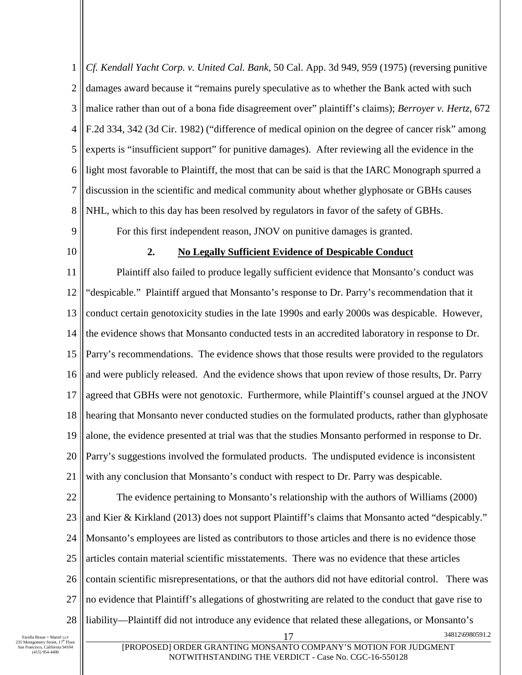1 2 3 4 5 6 7 8 *Cf. Kendall Yacht Corp. v. United Cal. Bank*, 50 Cal. App. 3d 949, 959 (1975) (reversing punitive damages award because it "remains purely speculative as to whether the Bank acted with such malice rather than out of a bona fide disagreement over" plaintiff's claims); *Berroyer v. Hertz*, 672 F.2d 334, 342 (3d Cir. 1982) ("difference of medical opinion on the degree of cancer risk" among experts is "insufficient support" for punitive damages). After reviewing all the evidence in the light most favorable to Plaintiff, the most that can be said is that the IARC Monograph spurred a discussion in the scientific and medical community about whether glyphosate or GBHs causes NHL, which to this day has been resolved by regulators in favor of the safety of GBHs.

- 9
- 10

#### **2. No Legally Sufficient Evidence of Despicable Conduct**

For this first independent reason, JNOV on punitive damages is granted.

11 12 13 14 15 16 17 18 19 20 21 Plaintiff also failed to produce legally sufficient evidence that Monsanto's conduct was "despicable." Plaintiff argued that Monsanto's response to Dr. Parry's recommendation that it conduct certain genotoxicity studies in the late 1990s and early 2000s was despicable. However, the evidence shows that Monsanto conducted tests in an accredited laboratory in response to Dr. Parry's recommendations. The evidence shows that those results were provided to the regulators and were publicly released. And the evidence shows that upon review of those results, Dr. Parry agreed that GBHs were not genotoxic. Furthermore, while Plaintiff's counsel argued at the JNOV hearing that Monsanto never conducted studies on the formulated products, rather than glyphosate alone, the evidence presented at trial was that the studies Monsanto performed in response to Dr. Parry's suggestions involved the formulated products. The undisputed evidence is inconsistent with any conclusion that Monsanto's conduct with respect to Dr. Parry was despicable.

22 23 24 25 26 27 28 17 34812\6980591.2 The evidence pertaining to Monsanto's relationship with the authors of Williams (2000) and Kier & Kirkland (2013) does not support Plaintiff's claims that Monsanto acted "despicably." Monsanto's employees are listed as contributors to those articles and there is no evidence those articles contain material scientific misstatements. There was no evidence that these articles contain scientific misrepresentations, or that the authors did not have editorial control. There was no evidence that Plaintiff's allegations of ghostwriting are related to the conduct that gave rise to liability—Plaintiff did not introduce any evidence that related these allegations, or Monsanto's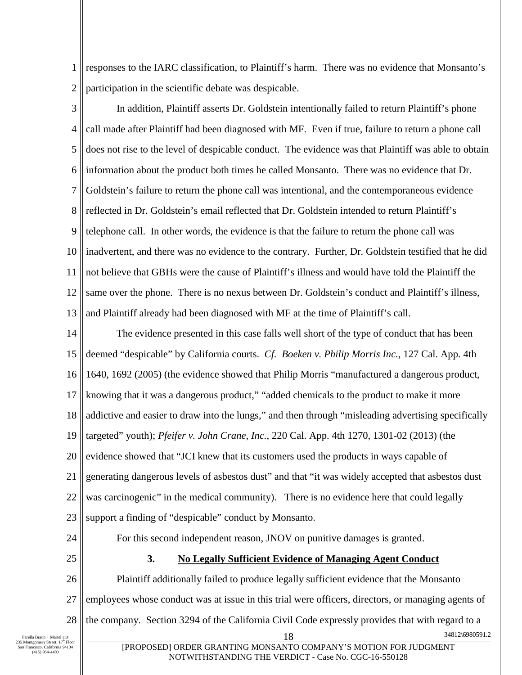1 2 responses to the IARC classification, to Plaintiff's harm. There was no evidence that Monsanto's participation in the scientific debate was despicable.

3 4 5 6 7 8 9 10 11 12 13 In addition, Plaintiff asserts Dr. Goldstein intentionally failed to return Plaintiff's phone call made after Plaintiff had been diagnosed with MF. Even if true, failure to return a phone call does not rise to the level of despicable conduct. The evidence was that Plaintiff was able to obtain information about the product both times he called Monsanto. There was no evidence that Dr. Goldstein's failure to return the phone call was intentional, and the contemporaneous evidence reflected in Dr. Goldstein's email reflected that Dr. Goldstein intended to return Plaintiff's telephone call. In other words, the evidence is that the failure to return the phone call was inadvertent, and there was no evidence to the contrary. Further, Dr. Goldstein testified that he did not believe that GBHs were the cause of Plaintiff's illness and would have told the Plaintiff the same over the phone. There is no nexus between Dr. Goldstein's conduct and Plaintiff's illness, and Plaintiff already had been diagnosed with MF at the time of Plaintiff's call.

14 15 16 17 18 19 20 21 22 23 The evidence presented in this case falls well short of the type of conduct that has been deemed "despicable" by California courts. *Cf. Boeken v. Philip Morris Inc.*, 127 Cal. App. 4th 1640, 1692 (2005) (the evidence showed that Philip Morris "manufactured a dangerous product, knowing that it was a dangerous product," "added chemicals to the product to make it more addictive and easier to draw into the lungs," and then through "misleading advertising specifically targeted" youth); *Pfeifer v. John Crane, Inc.*, 220 Cal. App. 4th 1270, 1301-02 (2013) (the evidence showed that "JCI knew that its customers used the products in ways capable of generating dangerous levels of asbestos dust" and that "it was widely accepted that asbestos dust was carcinogenic" in the medical community). There is no evidence here that could legally support a finding of "despicable" conduct by Monsanto.

24

25

# For this second independent reason, JNOV on punitive damages is granted. **3. No Legally Sufficient Evidence of Managing Agent Conduct**

26 27 28 18 34812\6980591.2 Plaintiff additionally failed to produce legally sufficient evidence that the Monsanto employees whose conduct was at issue in this trial were officers, directors, or managing agents of the company. Section 3294 of the California Civil Code expressly provides that with regard to a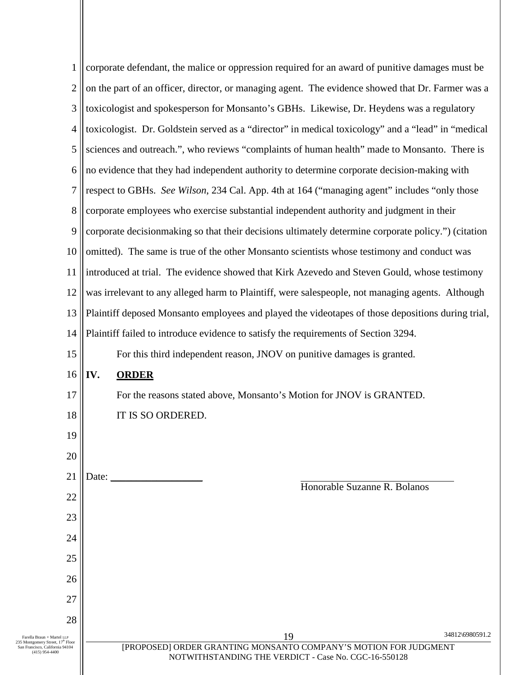| $\mathbf{1}$                                                                                                   |                                                                                                     | corporate defendant, the malice or oppression required for an award of punitive damages must be |                 |  |
|----------------------------------------------------------------------------------------------------------------|-----------------------------------------------------------------------------------------------------|-------------------------------------------------------------------------------------------------|-----------------|--|
| 2                                                                                                              | on the part of an officer, director, or managing agent. The evidence showed that Dr. Farmer was a   |                                                                                                 |                 |  |
| 3                                                                                                              | toxicologist and spokesperson for Monsanto's GBHs. Likewise, Dr. Heydens was a regulatory           |                                                                                                 |                 |  |
| 4                                                                                                              | toxicologist. Dr. Goldstein served as a "director" in medical toxicology" and a "lead" in "medical  |                                                                                                 |                 |  |
| 5                                                                                                              |                                                                                                     | sciences and outreach.", who reviews "complaints of human health" made to Monsanto. There is    |                 |  |
| 6                                                                                                              |                                                                                                     | no evidence that they had independent authority to determine corporate decision-making with     |                 |  |
| 7                                                                                                              |                                                                                                     | respect to GBHs. See Wilson, 234 Cal. App. 4th at 164 ("managing agent" includes "only those    |                 |  |
| 8                                                                                                              | corporate employees who exercise substantial independent authority and judgment in their            |                                                                                                 |                 |  |
| 9                                                                                                              | corporate decisionmaking so that their decisions ultimately determine corporate policy.") (citation |                                                                                                 |                 |  |
| 10                                                                                                             |                                                                                                     | omitted). The same is true of the other Monsanto scientists whose testimony and conduct was     |                 |  |
| 11                                                                                                             | introduced at trial. The evidence showed that Kirk Azevedo and Steven Gould, whose testimony        |                                                                                                 |                 |  |
| 12                                                                                                             | was irrelevant to any alleged harm to Plaintiff, were salespeople, not managing agents. Although    |                                                                                                 |                 |  |
| 13                                                                                                             | Plaintiff deposed Monsanto employees and played the videotapes of those depositions during trial,   |                                                                                                 |                 |  |
| 14                                                                                                             | Plaintiff failed to introduce evidence to satisfy the requirements of Section 3294.                 |                                                                                                 |                 |  |
| 15                                                                                                             |                                                                                                     | For this third independent reason, JNOV on punitive damages is granted.                         |                 |  |
| 16                                                                                                             | IV.                                                                                                 | <b>ORDER</b>                                                                                    |                 |  |
| 17                                                                                                             |                                                                                                     | For the reasons stated above, Monsanto's Motion for JNOV is GRANTED.                            |                 |  |
| 18                                                                                                             |                                                                                                     | IT IS SO ORDERED.                                                                               |                 |  |
| 19                                                                                                             |                                                                                                     |                                                                                                 |                 |  |
| 20                                                                                                             |                                                                                                     |                                                                                                 |                 |  |
| 21                                                                                                             | Date:                                                                                               | Honorable Suzanne R. Bolanos                                                                    |                 |  |
| 22                                                                                                             |                                                                                                     |                                                                                                 |                 |  |
| 23                                                                                                             |                                                                                                     |                                                                                                 |                 |  |
| 24                                                                                                             |                                                                                                     |                                                                                                 |                 |  |
| 25                                                                                                             |                                                                                                     |                                                                                                 |                 |  |
| 26                                                                                                             |                                                                                                     |                                                                                                 |                 |  |
| 27                                                                                                             |                                                                                                     |                                                                                                 |                 |  |
| 28                                                                                                             |                                                                                                     |                                                                                                 |                 |  |
| Farella Braun + Martel LLP<br>235 Montgomery Street, 17 <sup>th</sup> Floor<br>San Francisco, California 94104 |                                                                                                     | 19<br>[PROPOSED] ORDER GRANTING MONSANTO COMPANY'S MOTION FOR JUDGMENT                          | 34812\6980591.2 |  |
| $(415)$ 954-4400                                                                                               |                                                                                                     | NOTWITHSTANDING THE VERDICT - Case No. CGC-16-550128                                            |                 |  |